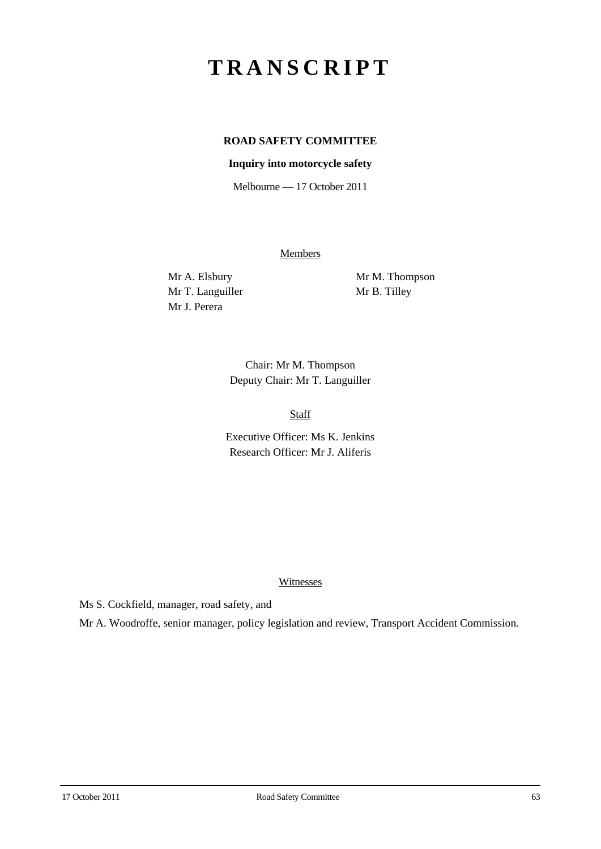# **TRANSCRIPT**

## **ROAD SAFETY COMMITTEE**

#### **Inquiry into motorcycle safety**

Melbourne — 17 October 2011

**Members** 

Mr T. Languiller Mr B. Tilley Mr J. Perera

Mr A. Elsbury Mr M. Thompson

Chair: Mr M. Thompson Deputy Chair: Mr T. Languiller

Staff

Executive Officer: Ms K. Jenkins Research Officer: Mr J. Aliferis

#### Witnesses

Ms S. Cockfield, manager, road safety, and

Mr A. Woodroffe, senior manager, policy legislation and review, Transport Accident Commission.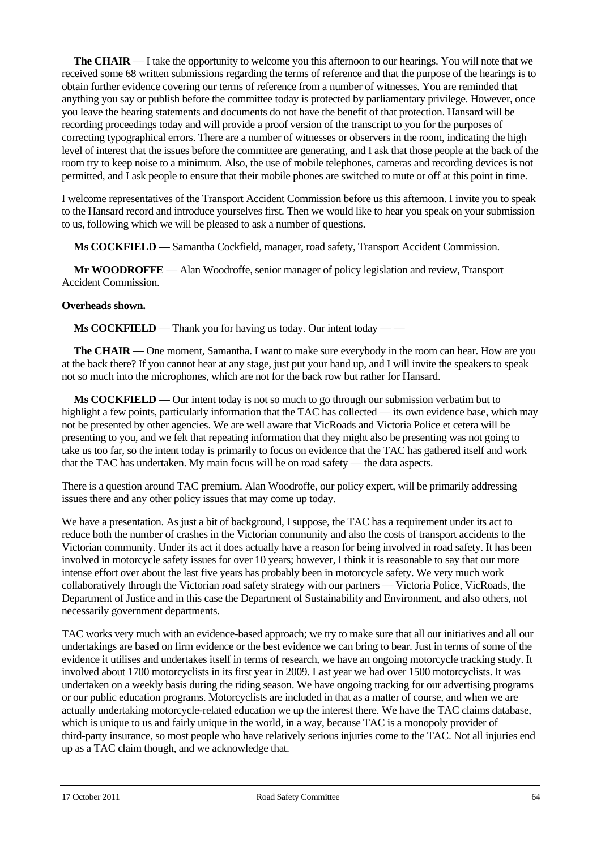**The CHAIR** — I take the opportunity to welcome you this afternoon to our hearings. You will note that we received some 68 written submissions regarding the terms of reference and that the purpose of the hearings is to obtain further evidence covering our terms of reference from a number of witnesses. You are reminded that anything you say or publish before the committee today is protected by parliamentary privilege. However, once you leave the hearing statements and documents do not have the benefit of that protection. Hansard will be recording proceedings today and will provide a proof version of the transcript to you for the purposes of correcting typographical errors. There are a number of witnesses or observers in the room, indicating the high level of interest that the issues before the committee are generating, and I ask that those people at the back of the room try to keep noise to a minimum. Also, the use of mobile telephones, cameras and recording devices is not permitted, and I ask people to ensure that their mobile phones are switched to mute or off at this point in time.

I welcome representatives of the Transport Accident Commission before us this afternoon. I invite you to speak to the Hansard record and introduce yourselves first. Then we would like to hear you speak on your submission to us, following which we will be pleased to ask a number of questions.

**Ms COCKFIELD** — Samantha Cockfield, manager, road safety, Transport Accident Commission.

**Mr WOODROFFE** — Alan Woodroffe, senior manager of policy legislation and review, Transport Accident Commission.

#### **Overheads shown.**

**Ms COCKFIELD** — Thank you for having us today. Our intent today — —

**The CHAIR** — One moment, Samantha. I want to make sure everybody in the room can hear. How are you at the back there? If you cannot hear at any stage, just put your hand up, and I will invite the speakers to speak not so much into the microphones, which are not for the back row but rather for Hansard.

**Ms COCKFIELD** — Our intent today is not so much to go through our submission verbatim but to highlight a few points, particularly information that the TAC has collected — its own evidence base, which may not be presented by other agencies. We are well aware that VicRoads and Victoria Police et cetera will be presenting to you, and we felt that repeating information that they might also be presenting was not going to take us too far, so the intent today is primarily to focus on evidence that the TAC has gathered itself and work that the TAC has undertaken. My main focus will be on road safety — the data aspects.

There is a question around TAC premium. Alan Woodroffe, our policy expert, will be primarily addressing issues there and any other policy issues that may come up today.

We have a presentation. As just a bit of background, I suppose, the TAC has a requirement under its act to reduce both the number of crashes in the Victorian community and also the costs of transport accidents to the Victorian community. Under its act it does actually have a reason for being involved in road safety. It has been involved in motorcycle safety issues for over 10 years; however, I think it is reasonable to say that our more intense effort over about the last five years has probably been in motorcycle safety. We very much work collaboratively through the Victorian road safety strategy with our partners — Victoria Police, VicRoads, the Department of Justice and in this case the Department of Sustainability and Environment, and also others, not necessarily government departments.

TAC works very much with an evidence-based approach; we try to make sure that all our initiatives and all our undertakings are based on firm evidence or the best evidence we can bring to bear. Just in terms of some of the evidence it utilises and undertakes itself in terms of research, we have an ongoing motorcycle tracking study. It involved about 1700 motorcyclists in its first year in 2009. Last year we had over 1500 motorcyclists. It was undertaken on a weekly basis during the riding season. We have ongoing tracking for our advertising programs or our public education programs. Motorcyclists are included in that as a matter of course, and when we are actually undertaking motorcycle-related education we up the interest there. We have the TAC claims database, which is unique to us and fairly unique in the world, in a way, because TAC is a monopoly provider of third-party insurance, so most people who have relatively serious injuries come to the TAC. Not all injuries end up as a TAC claim though, and we acknowledge that.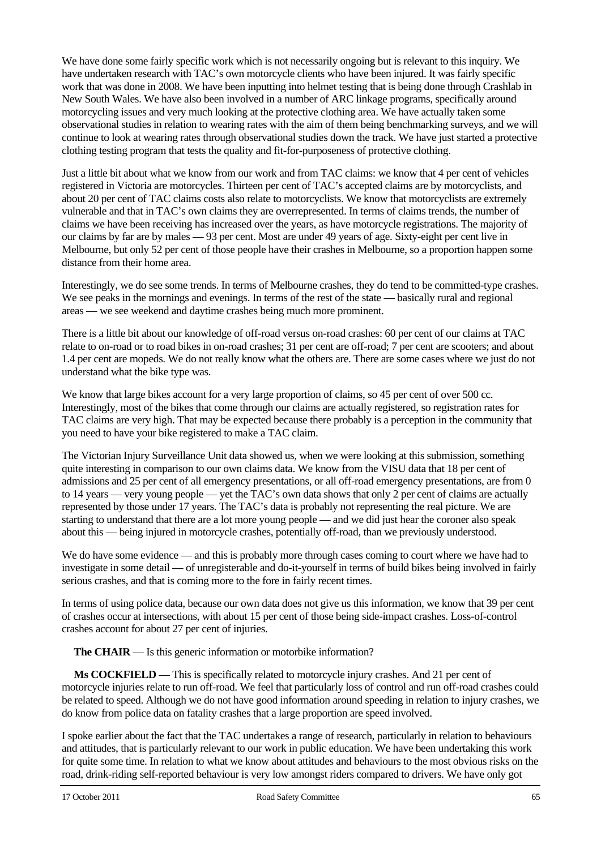We have done some fairly specific work which is not necessarily ongoing but is relevant to this inquiry. We have undertaken research with TAC's own motorcycle clients who have been injured. It was fairly specific work that was done in 2008. We have been inputting into helmet testing that is being done through Crashlab in New South Wales. We have also been involved in a number of ARC linkage programs, specifically around motorcycling issues and very much looking at the protective clothing area. We have actually taken some observational studies in relation to wearing rates with the aim of them being benchmarking surveys, and we will continue to look at wearing rates through observational studies down the track. We have just started a protective clothing testing program that tests the quality and fit-for-purposeness of protective clothing.

Just a little bit about what we know from our work and from TAC claims: we know that 4 per cent of vehicles registered in Victoria are motorcycles. Thirteen per cent of TAC's accepted claims are by motorcyclists, and about 20 per cent of TAC claims costs also relate to motorcyclists. We know that motorcyclists are extremely vulnerable and that in TAC's own claims they are overrepresented. In terms of claims trends, the number of claims we have been receiving has increased over the years, as have motorcycle registrations. The majority of our claims by far are by males — 93 per cent. Most are under 49 years of age. Sixty-eight per cent live in Melbourne, but only 52 per cent of those people have their crashes in Melbourne, so a proportion happen some distance from their home area.

Interestingly, we do see some trends. In terms of Melbourne crashes, they do tend to be committed-type crashes. We see peaks in the mornings and evenings. In terms of the rest of the state — basically rural and regional areas — we see weekend and daytime crashes being much more prominent.

There is a little bit about our knowledge of off-road versus on-road crashes: 60 per cent of our claims at TAC relate to on-road or to road bikes in on-road crashes; 31 per cent are off-road; 7 per cent are scooters; and about 1.4 per cent are mopeds. We do not really know what the others are. There are some cases where we just do not understand what the bike type was.

We know that large bikes account for a very large proportion of claims, so 45 per cent of over 500 cc. Interestingly, most of the bikes that come through our claims are actually registered, so registration rates for TAC claims are very high. That may be expected because there probably is a perception in the community that you need to have your bike registered to make a TAC claim.

The Victorian Injury Surveillance Unit data showed us, when we were looking at this submission, something quite interesting in comparison to our own claims data. We know from the VISU data that 18 per cent of admissions and 25 per cent of all emergency presentations, or all off-road emergency presentations, are from 0 to 14 years — very young people — yet the TAC's own data shows that only 2 per cent of claims are actually represented by those under 17 years. The TAC's data is probably not representing the real picture. We are starting to understand that there are a lot more young people — and we did just hear the coroner also speak about this — being injured in motorcycle crashes, potentially off-road, than we previously understood.

We do have some evidence — and this is probably more through cases coming to court where we have had to investigate in some detail — of unregisterable and do-it-yourself in terms of build bikes being involved in fairly serious crashes, and that is coming more to the fore in fairly recent times.

In terms of using police data, because our own data does not give us this information, we know that 39 per cent of crashes occur at intersections, with about 15 per cent of those being side-impact crashes. Loss-of-control crashes account for about 27 per cent of injuries.

**The CHAIR** — Is this generic information or motorbike information?

**Ms COCKFIELD** — This is specifically related to motorcycle injury crashes. And 21 per cent of motorcycle injuries relate to run off-road. We feel that particularly loss of control and run off-road crashes could be related to speed. Although we do not have good information around speeding in relation to injury crashes, we do know from police data on fatality crashes that a large proportion are speed involved.

I spoke earlier about the fact that the TAC undertakes a range of research, particularly in relation to behaviours and attitudes, that is particularly relevant to our work in public education. We have been undertaking this work for quite some time. In relation to what we know about attitudes and behaviours to the most obvious risks on the road, drink-riding self-reported behaviour is very low amongst riders compared to drivers. We have only got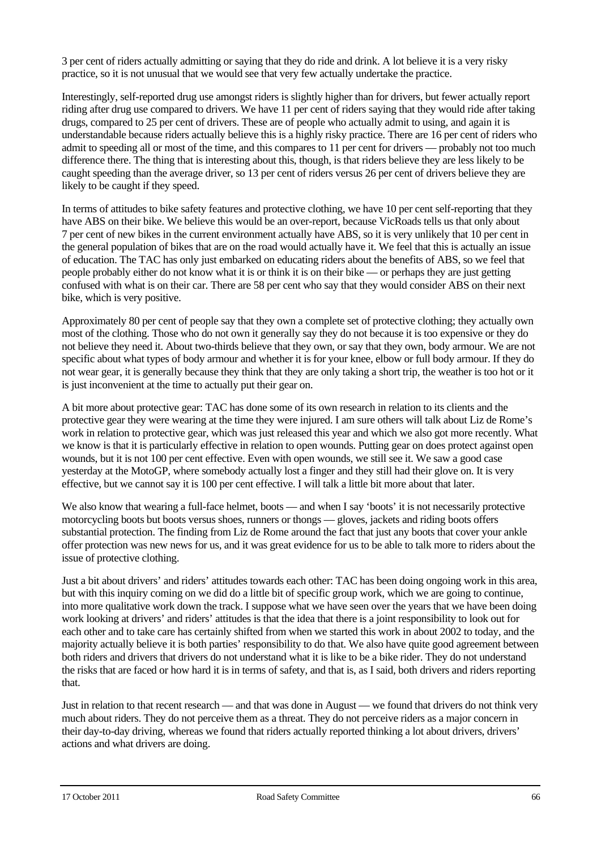3 per cent of riders actually admitting or saying that they do ride and drink. A lot believe it is a very risky practice, so it is not unusual that we would see that very few actually undertake the practice.

Interestingly, self-reported drug use amongst riders is slightly higher than for drivers, but fewer actually report riding after drug use compared to drivers. We have 11 per cent of riders saying that they would ride after taking drugs, compared to 25 per cent of drivers. These are of people who actually admit to using, and again it is understandable because riders actually believe this is a highly risky practice. There are 16 per cent of riders who admit to speeding all or most of the time, and this compares to 11 per cent for drivers — probably not too much difference there. The thing that is interesting about this, though, is that riders believe they are less likely to be caught speeding than the average driver, so 13 per cent of riders versus 26 per cent of drivers believe they are likely to be caught if they speed.

In terms of attitudes to bike safety features and protective clothing, we have 10 per cent self-reporting that they have ABS on their bike. We believe this would be an over-report, because VicRoads tells us that only about 7 per cent of new bikes in the current environment actually have ABS, so it is very unlikely that 10 per cent in the general population of bikes that are on the road would actually have it. We feel that this is actually an issue of education. The TAC has only just embarked on educating riders about the benefits of ABS, so we feel that people probably either do not know what it is or think it is on their bike — or perhaps they are just getting confused with what is on their car. There are 58 per cent who say that they would consider ABS on their next bike, which is very positive.

Approximately 80 per cent of people say that they own a complete set of protective clothing; they actually own most of the clothing. Those who do not own it generally say they do not because it is too expensive or they do not believe they need it. About two-thirds believe that they own, or say that they own, body armour. We are not specific about what types of body armour and whether it is for your knee, elbow or full body armour. If they do not wear gear, it is generally because they think that they are only taking a short trip, the weather is too hot or it is just inconvenient at the time to actually put their gear on.

A bit more about protective gear: TAC has done some of its own research in relation to its clients and the protective gear they were wearing at the time they were injured. I am sure others will talk about Liz de Rome's work in relation to protective gear, which was just released this year and which we also got more recently. What we know is that it is particularly effective in relation to open wounds. Putting gear on does protect against open wounds, but it is not 100 per cent effective. Even with open wounds, we still see it. We saw a good case yesterday at the MotoGP, where somebody actually lost a finger and they still had their glove on. It is very effective, but we cannot say it is 100 per cent effective. I will talk a little bit more about that later.

We also know that wearing a full-face helmet, boots — and when I say 'boots' it is not necessarily protective motorcycling boots but boots versus shoes, runners or thongs — gloves, jackets and riding boots offers substantial protection. The finding from Liz de Rome around the fact that just any boots that cover your ankle offer protection was new news for us, and it was great evidence for us to be able to talk more to riders about the issue of protective clothing.

Just a bit about drivers' and riders' attitudes towards each other: TAC has been doing ongoing work in this area, but with this inquiry coming on we did do a little bit of specific group work, which we are going to continue, into more qualitative work down the track. I suppose what we have seen over the years that we have been doing work looking at drivers' and riders' attitudes is that the idea that there is a joint responsibility to look out for each other and to take care has certainly shifted from when we started this work in about 2002 to today, and the majority actually believe it is both parties' responsibility to do that. We also have quite good agreement between both riders and drivers that drivers do not understand what it is like to be a bike rider. They do not understand the risks that are faced or how hard it is in terms of safety, and that is, as I said, both drivers and riders reporting that.

Just in relation to that recent research — and that was done in August — we found that drivers do not think very much about riders. They do not perceive them as a threat. They do not perceive riders as a major concern in their day-to-day driving, whereas we found that riders actually reported thinking a lot about drivers, drivers' actions and what drivers are doing.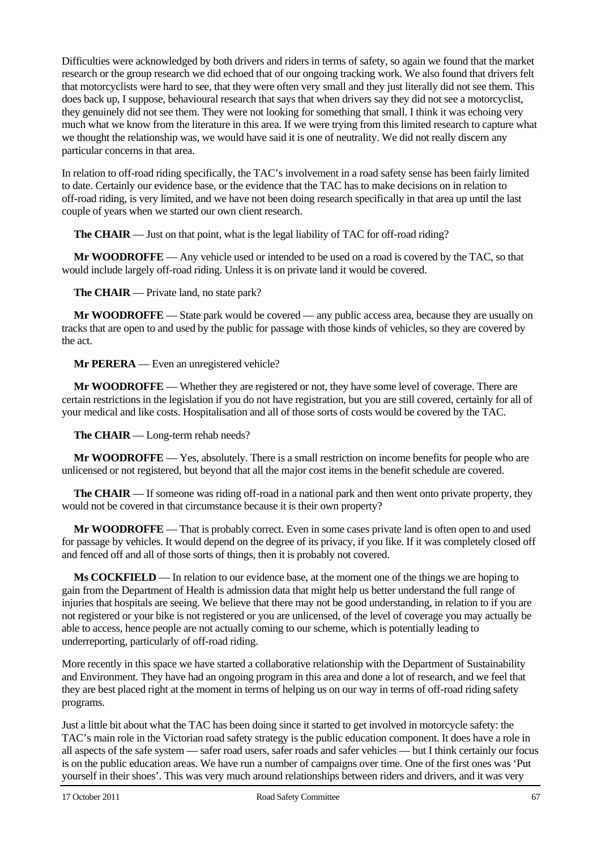Difficulties were acknowledged by both drivers and riders in terms of safety, so again we found that the market research or the group research we did echoed that of our ongoing tracking work. We also found that drivers felt that motorcyclists were hard to see, that they were often very small and they just literally did not see them. This does back up, I suppose, behavioural research that says that when drivers say they did not see a motorcyclist, they genuinely did not see them. They were not looking for something that small. I think it was echoing very much what we know from the literature in this area. If we were trying from this limited research to capture what we thought the relationship was, we would have said it is one of neutrality. We did not really discern any particular concerns in that area.

In relation to off-road riding specifically, the TAC's involvement in a road safety sense has been fairly limited to date. Certainly our evidence base, or the evidence that the TAC has to make decisions on in relation to off-road riding, is very limited, and we have not been doing research specifically in that area up until the last couple of years when we started our own client research.

**The CHAIR** — Just on that point, what is the legal liability of TAC for off-road riding?

**Mr WOODROFFE** — Any vehicle used or intended to be used on a road is covered by the TAC, so that would include largely off-road riding. Unless it is on private land it would be covered.

**The CHAIR** — Private land, no state park?

**Mr WOODROFFE** — State park would be covered — any public access area, because they are usually on tracks that are open to and used by the public for passage with those kinds of vehicles, so they are covered by the act.

**Mr PERERA** — Even an unregistered vehicle?

**Mr WOODROFFE** — Whether they are registered or not, they have some level of coverage. There are certain restrictions in the legislation if you do not have registration, but you are still covered, certainly for all of your medical and like costs. Hospitalisation and all of those sorts of costs would be covered by the TAC.

**The CHAIR** — Long-term rehab needs?

**Mr WOODROFFE** — Yes, absolutely. There is a small restriction on income benefits for people who are unlicensed or not registered, but beyond that all the major cost items in the benefit schedule are covered.

**The CHAIR** — If someone was riding off-road in a national park and then went onto private property, they would not be covered in that circumstance because it is their own property?

**Mr WOODROFFE** — That is probably correct. Even in some cases private land is often open to and used for passage by vehicles. It would depend on the degree of its privacy, if you like. If it was completely closed off and fenced off and all of those sorts of things, then it is probably not covered.

**Ms COCKFIELD** — In relation to our evidence base, at the moment one of the things we are hoping to gain from the Department of Health is admission data that might help us better understand the full range of injuries that hospitals are seeing. We believe that there may not be good understanding, in relation to if you are not registered or your bike is not registered or you are unlicensed, of the level of coverage you may actually be able to access, hence people are not actually coming to our scheme, which is potentially leading to underreporting, particularly of off-road riding.

More recently in this space we have started a collaborative relationship with the Department of Sustainability and Environment. They have had an ongoing program in this area and done a lot of research, and we feel that they are best placed right at the moment in terms of helping us on our way in terms of off-road riding safety programs.

Just a little bit about what the TAC has been doing since it started to get involved in motorcycle safety: the TAC's main role in the Victorian road safety strategy is the public education component. It does have a role in all aspects of the safe system — safer road users, safer roads and safer vehicles — but I think certainly our focus is on the public education areas. We have run a number of campaigns over time. One of the first ones was 'Put yourself in their shoes'. This was very much around relationships between riders and drivers, and it was very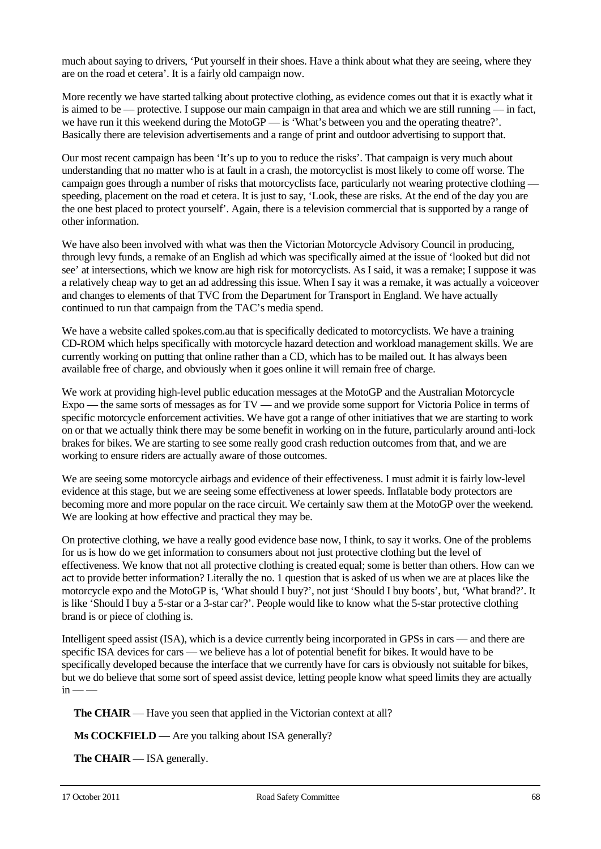much about saying to drivers, 'Put yourself in their shoes. Have a think about what they are seeing, where they are on the road et cetera'. It is a fairly old campaign now.

More recently we have started talking about protective clothing, as evidence comes out that it is exactly what it is aimed to be — protective. I suppose our main campaign in that area and which we are still running — in fact, we have run it this weekend during the MotoGP — is 'What's between you and the operating theatre?'. Basically there are television advertisements and a range of print and outdoor advertising to support that.

Our most recent campaign has been 'It's up to you to reduce the risks'. That campaign is very much about understanding that no matter who is at fault in a crash, the motorcyclist is most likely to come off worse. The campaign goes through a number of risks that motorcyclists face, particularly not wearing protective clothing – speeding, placement on the road et cetera. It is just to say, 'Look, these are risks. At the end of the day you are the one best placed to protect yourself'. Again, there is a television commercial that is supported by a range of other information.

We have also been involved with what was then the Victorian Motorcycle Advisory Council in producing, through levy funds, a remake of an English ad which was specifically aimed at the issue of 'looked but did not see' at intersections, which we know are high risk for motorcyclists. As I said, it was a remake; I suppose it was a relatively cheap way to get an ad addressing this issue. When I say it was a remake, it was actually a voiceover and changes to elements of that TVC from the Department for Transport in England. We have actually continued to run that campaign from the TAC's media spend.

We have a website called spokes.com.au that is specifically dedicated to motorcyclists. We have a training CD-ROM which helps specifically with motorcycle hazard detection and workload management skills. We are currently working on putting that online rather than a CD, which has to be mailed out. It has always been available free of charge, and obviously when it goes online it will remain free of charge.

We work at providing high-level public education messages at the MotoGP and the Australian Motorcycle Expo — the same sorts of messages as for TV — and we provide some support for Victoria Police in terms of specific motorcycle enforcement activities. We have got a range of other initiatives that we are starting to work on or that we actually think there may be some benefit in working on in the future, particularly around anti-lock brakes for bikes. We are starting to see some really good crash reduction outcomes from that, and we are working to ensure riders are actually aware of those outcomes.

We are seeing some motorcycle airbags and evidence of their effectiveness. I must admit it is fairly low-level evidence at this stage, but we are seeing some effectiveness at lower speeds. Inflatable body protectors are becoming more and more popular on the race circuit. We certainly saw them at the MotoGP over the weekend. We are looking at how effective and practical they may be.

On protective clothing, we have a really good evidence base now, I think, to say it works. One of the problems for us is how do we get information to consumers about not just protective clothing but the level of effectiveness. We know that not all protective clothing is created equal; some is better than others. How can we act to provide better information? Literally the no. 1 question that is asked of us when we are at places like the motorcycle expo and the MotoGP is, 'What should I buy?', not just 'Should I buy boots', but, 'What brand?'. It is like 'Should I buy a 5-star or a 3-star car?'. People would like to know what the 5-star protective clothing brand is or piece of clothing is.

Intelligent speed assist (ISA), which is a device currently being incorporated in GPSs in cars — and there are specific ISA devices for cars — we believe has a lot of potential benefit for bikes. It would have to be specifically developed because the interface that we currently have for cars is obviously not suitable for bikes, but we do believe that some sort of speed assist device, letting people know what speed limits they are actually  $in - -$ 

**The CHAIR** — Have you seen that applied in the Victorian context at all?

**Ms COCKFIELD** — Are you talking about ISA generally?

**The CHAIR** — ISA generally.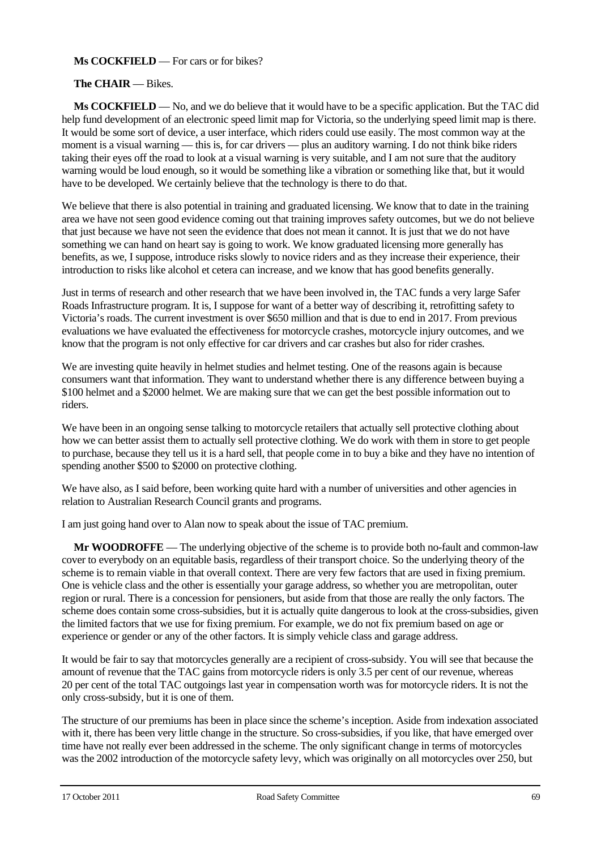### **Ms COCKFIELD** — For cars or for bikes?

#### **The CHAIR** — Bikes.

**Ms COCKFIELD** — No, and we do believe that it would have to be a specific application. But the TAC did help fund development of an electronic speed limit map for Victoria, so the underlying speed limit map is there. It would be some sort of device, a user interface, which riders could use easily. The most common way at the moment is a visual warning — this is, for car drivers — plus an auditory warning. I do not think bike riders taking their eyes off the road to look at a visual warning is very suitable, and I am not sure that the auditory warning would be loud enough, so it would be something like a vibration or something like that, but it would have to be developed. We certainly believe that the technology is there to do that.

We believe that there is also potential in training and graduated licensing. We know that to date in the training area we have not seen good evidence coming out that training improves safety outcomes, but we do not believe that just because we have not seen the evidence that does not mean it cannot. It is just that we do not have something we can hand on heart say is going to work. We know graduated licensing more generally has benefits, as we, I suppose, introduce risks slowly to novice riders and as they increase their experience, their introduction to risks like alcohol et cetera can increase, and we know that has good benefits generally.

Just in terms of research and other research that we have been involved in, the TAC funds a very large Safer Roads Infrastructure program. It is, I suppose for want of a better way of describing it, retrofitting safety to Victoria's roads. The current investment is over \$650 million and that is due to end in 2017. From previous evaluations we have evaluated the effectiveness for motorcycle crashes, motorcycle injury outcomes, and we know that the program is not only effective for car drivers and car crashes but also for rider crashes.

We are investing quite heavily in helmet studies and helmet testing. One of the reasons again is because consumers want that information. They want to understand whether there is any difference between buying a \$100 helmet and a \$2000 helmet. We are making sure that we can get the best possible information out to riders.

We have been in an ongoing sense talking to motorcycle retailers that actually sell protective clothing about how we can better assist them to actually sell protective clothing. We do work with them in store to get people to purchase, because they tell us it is a hard sell, that people come in to buy a bike and they have no intention of spending another \$500 to \$2000 on protective clothing.

We have also, as I said before, been working quite hard with a number of universities and other agencies in relation to Australian Research Council grants and programs.

I am just going hand over to Alan now to speak about the issue of TAC premium.

**Mr WOODROFFE** — The underlying objective of the scheme is to provide both no-fault and common-law cover to everybody on an equitable basis, regardless of their transport choice. So the underlying theory of the scheme is to remain viable in that overall context. There are very few factors that are used in fixing premium. One is vehicle class and the other is essentially your garage address, so whether you are metropolitan, outer region or rural. There is a concession for pensioners, but aside from that those are really the only factors. The scheme does contain some cross-subsidies, but it is actually quite dangerous to look at the cross-subsidies, given the limited factors that we use for fixing premium. For example, we do not fix premium based on age or experience or gender or any of the other factors. It is simply vehicle class and garage address.

It would be fair to say that motorcycles generally are a recipient of cross-subsidy. You will see that because the amount of revenue that the TAC gains from motorcycle riders is only 3.5 per cent of our revenue, whereas 20 per cent of the total TAC outgoings last year in compensation worth was for motorcycle riders. It is not the only cross-subsidy, but it is one of them.

The structure of our premiums has been in place since the scheme's inception. Aside from indexation associated with it, there has been very little change in the structure. So cross-subsidies, if you like, that have emerged over time have not really ever been addressed in the scheme. The only significant change in terms of motorcycles was the 2002 introduction of the motorcycle safety levy, which was originally on all motorcycles over 250, but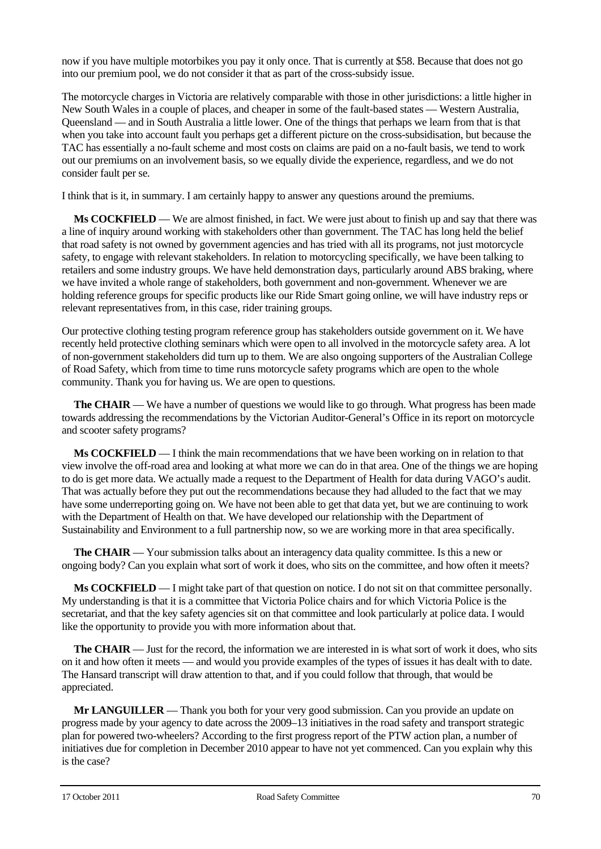now if you have multiple motorbikes you pay it only once. That is currently at \$58. Because that does not go into our premium pool, we do not consider it that as part of the cross-subsidy issue.

The motorcycle charges in Victoria are relatively comparable with those in other jurisdictions: a little higher in New South Wales in a couple of places, and cheaper in some of the fault-based states — Western Australia, Queensland — and in South Australia a little lower. One of the things that perhaps we learn from that is that when you take into account fault you perhaps get a different picture on the cross-subsidisation, but because the TAC has essentially a no-fault scheme and most costs on claims are paid on a no-fault basis, we tend to work out our premiums on an involvement basis, so we equally divide the experience, regardless, and we do not consider fault per se.

I think that is it, in summary. I am certainly happy to answer any questions around the premiums.

**Ms COCKFIELD** — We are almost finished, in fact. We were just about to finish up and say that there was a line of inquiry around working with stakeholders other than government. The TAC has long held the belief that road safety is not owned by government agencies and has tried with all its programs, not just motorcycle safety, to engage with relevant stakeholders. In relation to motorcycling specifically, we have been talking to retailers and some industry groups. We have held demonstration days, particularly around ABS braking, where we have invited a whole range of stakeholders, both government and non-government. Whenever we are holding reference groups for specific products like our Ride Smart going online, we will have industry reps or relevant representatives from, in this case, rider training groups.

Our protective clothing testing program reference group has stakeholders outside government on it. We have recently held protective clothing seminars which were open to all involved in the motorcycle safety area. A lot of non-government stakeholders did turn up to them. We are also ongoing supporters of the Australian College of Road Safety, which from time to time runs motorcycle safety programs which are open to the whole community. Thank you for having us. We are open to questions.

**The CHAIR** — We have a number of questions we would like to go through. What progress has been made towards addressing the recommendations by the Victorian Auditor-General's Office in its report on motorcycle and scooter safety programs?

**Ms COCKFIELD** — I think the main recommendations that we have been working on in relation to that view involve the off-road area and looking at what more we can do in that area. One of the things we are hoping to do is get more data. We actually made a request to the Department of Health for data during VAGO's audit. That was actually before they put out the recommendations because they had alluded to the fact that we may have some underreporting going on. We have not been able to get that data yet, but we are continuing to work with the Department of Health on that. We have developed our relationship with the Department of Sustainability and Environment to a full partnership now, so we are working more in that area specifically.

**The CHAIR** — Your submission talks about an interagency data quality committee. Is this a new or ongoing body? Can you explain what sort of work it does, who sits on the committee, and how often it meets?

**Ms COCKFIELD** — I might take part of that question on notice. I do not sit on that committee personally. My understanding is that it is a committee that Victoria Police chairs and for which Victoria Police is the secretariat, and that the key safety agencies sit on that committee and look particularly at police data. I would like the opportunity to provide you with more information about that.

**The CHAIR** — Just for the record, the information we are interested in is what sort of work it does, who sits on it and how often it meets — and would you provide examples of the types of issues it has dealt with to date. The Hansard transcript will draw attention to that, and if you could follow that through, that would be appreciated.

**Mr LANGUILLER** — Thank you both for your very good submission. Can you provide an update on progress made by your agency to date across the 2009–13 initiatives in the road safety and transport strategic plan for powered two-wheelers? According to the first progress report of the PTW action plan, a number of initiatives due for completion in December 2010 appear to have not yet commenced. Can you explain why this is the case?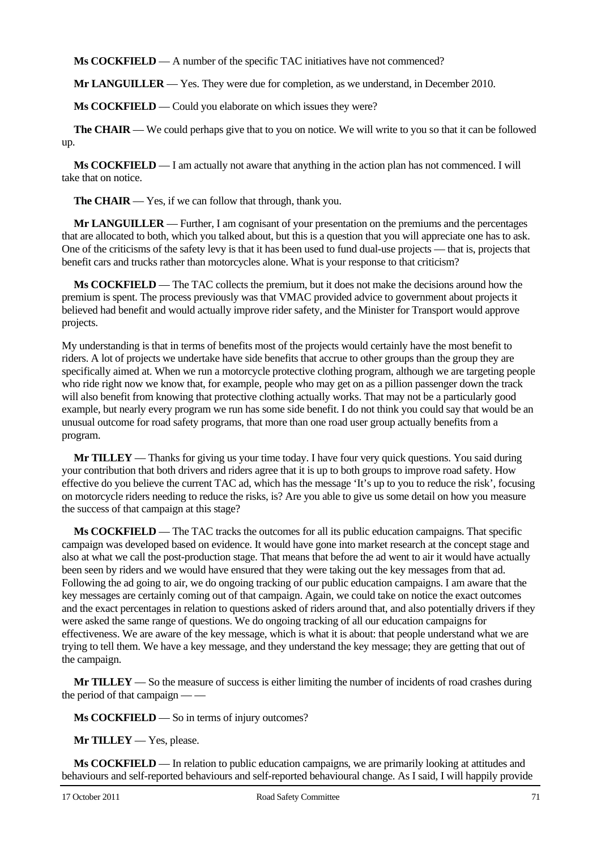**Ms COCKFIELD** — A number of the specific TAC initiatives have not commenced?

**Mr LANGUILLER** — Yes. They were due for completion, as we understand, in December 2010.

**Ms COCKFIELD** — Could you elaborate on which issues they were?

**The CHAIR** — We could perhaps give that to you on notice. We will write to you so that it can be followed up.

**Ms COCKFIELD** — I am actually not aware that anything in the action plan has not commenced. I will take that on notice.

**The CHAIR** — Yes, if we can follow that through, thank you.

**Mr LANGUILLER** — Further, I am cognisant of your presentation on the premiums and the percentages that are allocated to both, which you talked about, but this is a question that you will appreciate one has to ask. One of the criticisms of the safety levy is that it has been used to fund dual-use projects — that is, projects that benefit cars and trucks rather than motorcycles alone. What is your response to that criticism?

**Ms COCKFIELD** — The TAC collects the premium, but it does not make the decisions around how the premium is spent. The process previously was that VMAC provided advice to government about projects it believed had benefit and would actually improve rider safety, and the Minister for Transport would approve projects.

My understanding is that in terms of benefits most of the projects would certainly have the most benefit to riders. A lot of projects we undertake have side benefits that accrue to other groups than the group they are specifically aimed at. When we run a motorcycle protective clothing program, although we are targeting people who ride right now we know that, for example, people who may get on as a pillion passenger down the track will also benefit from knowing that protective clothing actually works. That may not be a particularly good example, but nearly every program we run has some side benefit. I do not think you could say that would be an unusual outcome for road safety programs, that more than one road user group actually benefits from a program.

**Mr TILLEY** — Thanks for giving us your time today. I have four very quick questions. You said during your contribution that both drivers and riders agree that it is up to both groups to improve road safety. How effective do you believe the current TAC ad, which has the message 'It's up to you to reduce the risk', focusing on motorcycle riders needing to reduce the risks, is? Are you able to give us some detail on how you measure the success of that campaign at this stage?

**Ms COCKFIELD** — The TAC tracks the outcomes for all its public education campaigns. That specific campaign was developed based on evidence. It would have gone into market research at the concept stage and also at what we call the post-production stage. That means that before the ad went to air it would have actually been seen by riders and we would have ensured that they were taking out the key messages from that ad. Following the ad going to air, we do ongoing tracking of our public education campaigns. I am aware that the key messages are certainly coming out of that campaign. Again, we could take on notice the exact outcomes and the exact percentages in relation to questions asked of riders around that, and also potentially drivers if they were asked the same range of questions. We do ongoing tracking of all our education campaigns for effectiveness. We are aware of the key message, which is what it is about: that people understand what we are trying to tell them. We have a key message, and they understand the key message; they are getting that out of the campaign.

**Mr TILLEY** — So the measure of success is either limiting the number of incidents of road crashes during the period of that campaign — —

**Ms COCKFIELD** — So in terms of injury outcomes?

**Mr TILLEY** — Yes, please.

**Ms COCKFIELD** — In relation to public education campaigns, we are primarily looking at attitudes and behaviours and self-reported behaviours and self-reported behavioural change. As I said, I will happily provide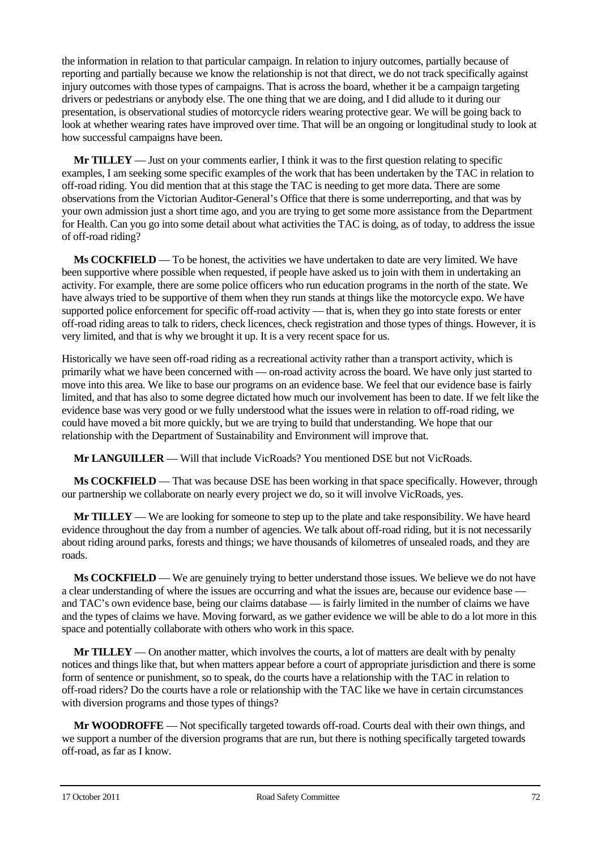the information in relation to that particular campaign. In relation to injury outcomes, partially because of reporting and partially because we know the relationship is not that direct, we do not track specifically against injury outcomes with those types of campaigns. That is across the board, whether it be a campaign targeting drivers or pedestrians or anybody else. The one thing that we are doing, and I did allude to it during our presentation, is observational studies of motorcycle riders wearing protective gear. We will be going back to look at whether wearing rates have improved over time. That will be an ongoing or longitudinal study to look at how successful campaigns have been.

**Mr TILLEY** — Just on your comments earlier, I think it was to the first question relating to specific examples, I am seeking some specific examples of the work that has been undertaken by the TAC in relation to off-road riding. You did mention that at this stage the TAC is needing to get more data. There are some observations from the Victorian Auditor-General's Office that there is some underreporting, and that was by your own admission just a short time ago, and you are trying to get some more assistance from the Department for Health. Can you go into some detail about what activities the TAC is doing, as of today, to address the issue of off-road riding?

**Ms COCKFIELD** — To be honest, the activities we have undertaken to date are very limited. We have been supportive where possible when requested, if people have asked us to join with them in undertaking an activity. For example, there are some police officers who run education programs in the north of the state. We have always tried to be supportive of them when they run stands at things like the motorcycle expo. We have supported police enforcement for specific off-road activity — that is, when they go into state forests or enter off-road riding areas to talk to riders, check licences, check registration and those types of things. However, it is very limited, and that is why we brought it up. It is a very recent space for us.

Historically we have seen off-road riding as a recreational activity rather than a transport activity, which is primarily what we have been concerned with — on-road activity across the board. We have only just started to move into this area. We like to base our programs on an evidence base. We feel that our evidence base is fairly limited, and that has also to some degree dictated how much our involvement has been to date. If we felt like the evidence base was very good or we fully understood what the issues were in relation to off-road riding, we could have moved a bit more quickly, but we are trying to build that understanding. We hope that our relationship with the Department of Sustainability and Environment will improve that.

**Mr LANGUILLER** — Will that include VicRoads? You mentioned DSE but not VicRoads.

**Ms COCKFIELD** — That was because DSE has been working in that space specifically. However, through our partnership we collaborate on nearly every project we do, so it will involve VicRoads, yes.

**Mr TILLEY** — We are looking for someone to step up to the plate and take responsibility. We have heard evidence throughout the day from a number of agencies. We talk about off-road riding, but it is not necessarily about riding around parks, forests and things; we have thousands of kilometres of unsealed roads, and they are roads.

**Ms COCKFIELD** — We are genuinely trying to better understand those issues. We believe we do not have a clear understanding of where the issues are occurring and what the issues are, because our evidence base – and TAC's own evidence base, being our claims database — is fairly limited in the number of claims we have and the types of claims we have. Moving forward, as we gather evidence we will be able to do a lot more in this space and potentially collaborate with others who work in this space.

**Mr TILLEY** — On another matter, which involves the courts, a lot of matters are dealt with by penalty notices and things like that, but when matters appear before a court of appropriate jurisdiction and there is some form of sentence or punishment, so to speak, do the courts have a relationship with the TAC in relation to off-road riders? Do the courts have a role or relationship with the TAC like we have in certain circumstances with diversion programs and those types of things?

**Mr WOODROFFE** — Not specifically targeted towards off-road. Courts deal with their own things, and we support a number of the diversion programs that are run, but there is nothing specifically targeted towards off-road, as far as I know.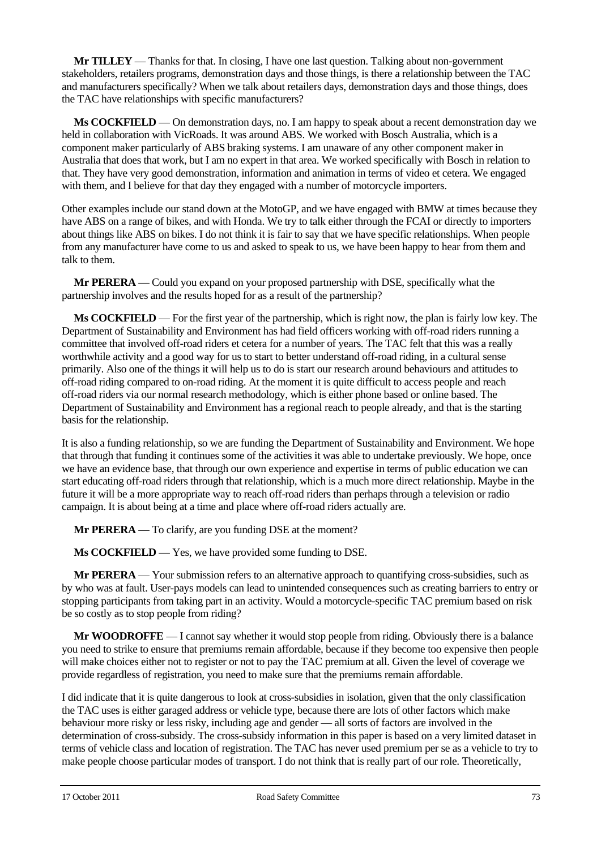**Mr TILLEY** — Thanks for that. In closing, I have one last question. Talking about non-government stakeholders, retailers programs, demonstration days and those things, is there a relationship between the TAC and manufacturers specifically? When we talk about retailers days, demonstration days and those things, does the TAC have relationships with specific manufacturers?

**Ms COCKFIELD** — On demonstration days, no. I am happy to speak about a recent demonstration day we held in collaboration with VicRoads. It was around ABS. We worked with Bosch Australia, which is a component maker particularly of ABS braking systems. I am unaware of any other component maker in Australia that does that work, but I am no expert in that area. We worked specifically with Bosch in relation to that. They have very good demonstration, information and animation in terms of video et cetera. We engaged with them, and I believe for that day they engaged with a number of motorcycle importers.

Other examples include our stand down at the MotoGP, and we have engaged with BMW at times because they have ABS on a range of bikes, and with Honda. We try to talk either through the FCAI or directly to importers about things like ABS on bikes. I do not think it is fair to say that we have specific relationships. When people from any manufacturer have come to us and asked to speak to us, we have been happy to hear from them and talk to them.

**Mr PERERA** — Could you expand on your proposed partnership with DSE, specifically what the partnership involves and the results hoped for as a result of the partnership?

**Ms COCKFIELD** — For the first year of the partnership, which is right now, the plan is fairly low key. The Department of Sustainability and Environment has had field officers working with off-road riders running a committee that involved off-road riders et cetera for a number of years. The TAC felt that this was a really worthwhile activity and a good way for us to start to better understand off-road riding, in a cultural sense primarily. Also one of the things it will help us to do is start our research around behaviours and attitudes to off-road riding compared to on-road riding. At the moment it is quite difficult to access people and reach off-road riders via our normal research methodology, which is either phone based or online based. The Department of Sustainability and Environment has a regional reach to people already, and that is the starting basis for the relationship.

It is also a funding relationship, so we are funding the Department of Sustainability and Environment. We hope that through that funding it continues some of the activities it was able to undertake previously. We hope, once we have an evidence base, that through our own experience and expertise in terms of public education we can start educating off-road riders through that relationship, which is a much more direct relationship. Maybe in the future it will be a more appropriate way to reach off-road riders than perhaps through a television or radio campaign. It is about being at a time and place where off-road riders actually are.

**Mr PERERA** — To clarify, are you funding DSE at the moment?

**Ms COCKFIELD** — Yes, we have provided some funding to DSE.

**Mr PERERA** — Your submission refers to an alternative approach to quantifying cross-subsidies, such as by who was at fault. User-pays models can lead to unintended consequences such as creating barriers to entry or stopping participants from taking part in an activity. Would a motorcycle-specific TAC premium based on risk be so costly as to stop people from riding?

**Mr WOODROFFE** — I cannot say whether it would stop people from riding. Obviously there is a balance you need to strike to ensure that premiums remain affordable, because if they become too expensive then people will make choices either not to register or not to pay the TAC premium at all. Given the level of coverage we provide regardless of registration, you need to make sure that the premiums remain affordable.

I did indicate that it is quite dangerous to look at cross-subsidies in isolation, given that the only classification the TAC uses is either garaged address or vehicle type, because there are lots of other factors which make behaviour more risky or less risky, including age and gender — all sorts of factors are involved in the determination of cross-subsidy. The cross-subsidy information in this paper is based on a very limited dataset in terms of vehicle class and location of registration. The TAC has never used premium per se as a vehicle to try to make people choose particular modes of transport. I do not think that is really part of our role. Theoretically,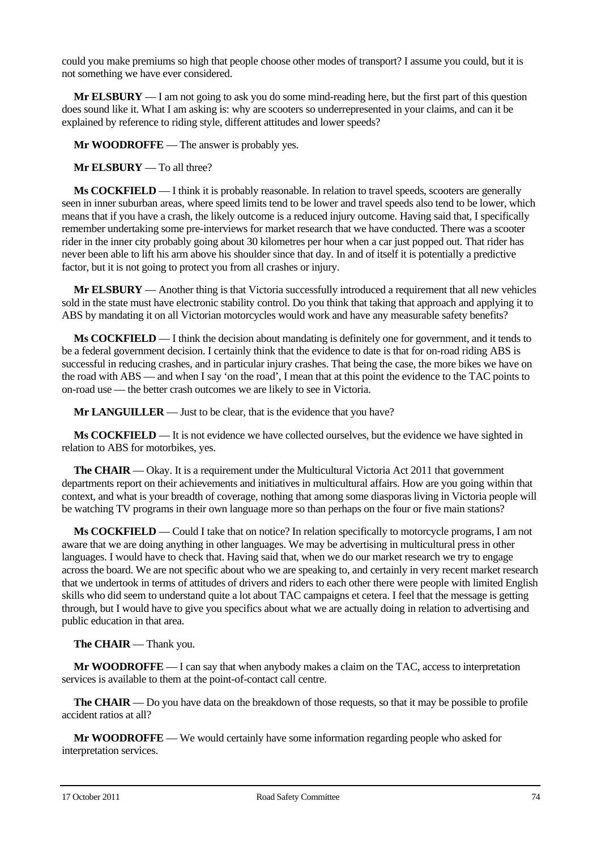could you make premiums so high that people choose other modes of transport? I assume you could, but it is not something we have ever considered.

**Mr ELSBURY** — I am not going to ask you do some mind-reading here, but the first part of this question does sound like it. What I am asking is: why are scooters so underrepresented in your claims, and can it be explained by reference to riding style, different attitudes and lower speeds?

**Mr WOODROFFE** — The answer is probably yes.

**Mr ELSBURY** — To all three?

**Ms COCKFIELD** — I think it is probably reasonable. In relation to travel speeds, scooters are generally seen in inner suburban areas, where speed limits tend to be lower and travel speeds also tend to be lower, which means that if you have a crash, the likely outcome is a reduced injury outcome. Having said that, I specifically remember undertaking some pre-interviews for market research that we have conducted. There was a scooter rider in the inner city probably going about 30 kilometres per hour when a car just popped out. That rider has never been able to lift his arm above his shoulder since that day. In and of itself it is potentially a predictive factor, but it is not going to protect you from all crashes or injury.

**Mr ELSBURY** — Another thing is that Victoria successfully introduced a requirement that all new vehicles sold in the state must have electronic stability control. Do you think that taking that approach and applying it to ABS by mandating it on all Victorian motorcycles would work and have any measurable safety benefits?

**Ms COCKFIELD** — I think the decision about mandating is definitely one for government, and it tends to be a federal government decision. I certainly think that the evidence to date is that for on-road riding ABS is successful in reducing crashes, and in particular injury crashes. That being the case, the more bikes we have on the road with ABS — and when I say 'on the road', I mean that at this point the evidence to the TAC points to on-road use — the better crash outcomes we are likely to see in Victoria.

**Mr LANGUILLER** — Just to be clear, that is the evidence that you have?

**Ms COCKFIELD** — It is not evidence we have collected ourselves, but the evidence we have sighted in relation to ABS for motorbikes, yes.

**The CHAIR** — Okay. It is a requirement under the Multicultural Victoria Act 2011 that government departments report on their achievements and initiatives in multicultural affairs. How are you going within that context, and what is your breadth of coverage, nothing that among some diasporas living in Victoria people will be watching TV programs in their own language more so than perhaps on the four or five main stations?

**Ms COCKFIELD** — Could I take that on notice? In relation specifically to motorcycle programs, I am not aware that we are doing anything in other languages. We may be advertising in multicultural press in other languages. I would have to check that. Having said that, when we do our market research we try to engage across the board. We are not specific about who we are speaking to, and certainly in very recent market research that we undertook in terms of attitudes of drivers and riders to each other there were people with limited English skills who did seem to understand quite a lot about TAC campaigns et cetera. I feel that the message is getting through, but I would have to give you specifics about what we are actually doing in relation to advertising and public education in that area.

**The CHAIR** — Thank you.

**Mr WOODROFFE** — I can say that when anybody makes a claim on the TAC, access to interpretation services is available to them at the point-of-contact call centre.

**The CHAIR** — Do you have data on the breakdown of those requests, so that it may be possible to profile accident ratios at all?

**Mr WOODROFFE** — We would certainly have some information regarding people who asked for interpretation services.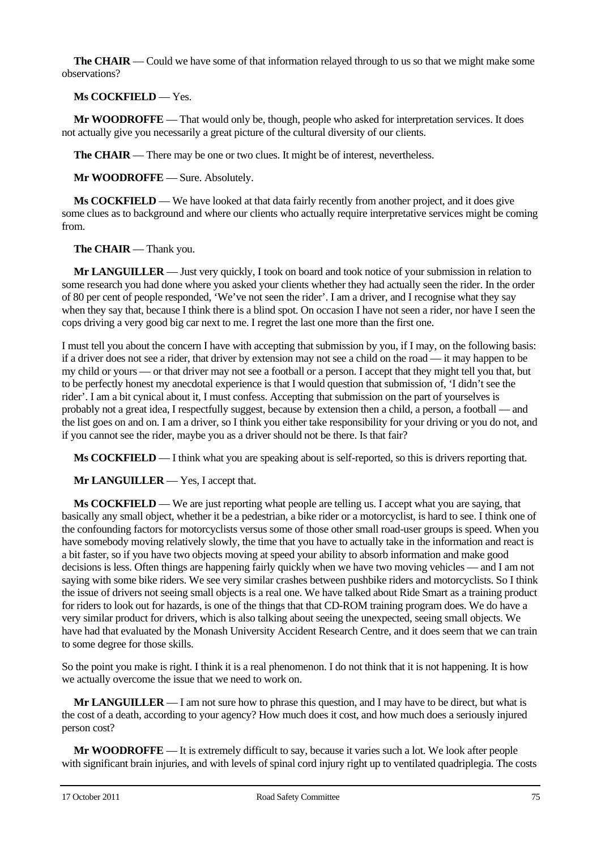**The CHAIR** — Could we have some of that information relayed through to us so that we might make some observations?

**Ms COCKFIELD** — Yes.

**Mr WOODROFFE** — That would only be, though, people who asked for interpretation services. It does not actually give you necessarily a great picture of the cultural diversity of our clients.

**The CHAIR** — There may be one or two clues. It might be of interest, nevertheless.

**Mr WOODROFFE** — Sure. Absolutely.

**Ms COCKFIELD** — We have looked at that data fairly recently from another project, and it does give some clues as to background and where our clients who actually require interpretative services might be coming from.

**The CHAIR** — Thank you.

**Mr LANGUILLER** — Just very quickly, I took on board and took notice of your submission in relation to some research you had done where you asked your clients whether they had actually seen the rider. In the order of 80 per cent of people responded, 'We've not seen the rider'. I am a driver, and I recognise what they say when they say that, because I think there is a blind spot. On occasion I have not seen a rider, nor have I seen the cops driving a very good big car next to me. I regret the last one more than the first one.

I must tell you about the concern I have with accepting that submission by you, if I may, on the following basis: if a driver does not see a rider, that driver by extension may not see a child on the road — it may happen to be my child or yours — or that driver may not see a football or a person. I accept that they might tell you that, but to be perfectly honest my anecdotal experience is that I would question that submission of, 'I didn't see the rider'. I am a bit cynical about it, I must confess. Accepting that submission on the part of yourselves is probably not a great idea, I respectfully suggest, because by extension then a child, a person, a football — and the list goes on and on. I am a driver, so I think you either take responsibility for your driving or you do not, and if you cannot see the rider, maybe you as a driver should not be there. Is that fair?

**Ms COCKFIELD** — I think what you are speaking about is self-reported, so this is drivers reporting that.

**Mr LANGUILLER** — Yes, I accept that.

**Ms COCKFIELD** — We are just reporting what people are telling us. I accept what you are saying, that basically any small object, whether it be a pedestrian, a bike rider or a motorcyclist, is hard to see. I think one of the confounding factors for motorcyclists versus some of those other small road-user groups is speed. When you have somebody moving relatively slowly, the time that you have to actually take in the information and react is a bit faster, so if you have two objects moving at speed your ability to absorb information and make good decisions is less. Often things are happening fairly quickly when we have two moving vehicles — and I am not saying with some bike riders. We see very similar crashes between pushbike riders and motorcyclists. So I think the issue of drivers not seeing small objects is a real one. We have talked about Ride Smart as a training product for riders to look out for hazards, is one of the things that that CD-ROM training program does. We do have a very similar product for drivers, which is also talking about seeing the unexpected, seeing small objects. We have had that evaluated by the Monash University Accident Research Centre, and it does seem that we can train to some degree for those skills.

So the point you make is right. I think it is a real phenomenon. I do not think that it is not happening. It is how we actually overcome the issue that we need to work on.

**Mr LANGUILLER** — I am not sure how to phrase this question, and I may have to be direct, but what is the cost of a death, according to your agency? How much does it cost, and how much does a seriously injured person cost?

**Mr WOODROFFE** — It is extremely difficult to say, because it varies such a lot. We look after people with significant brain injuries, and with levels of spinal cord injury right up to ventilated quadriplegia. The costs